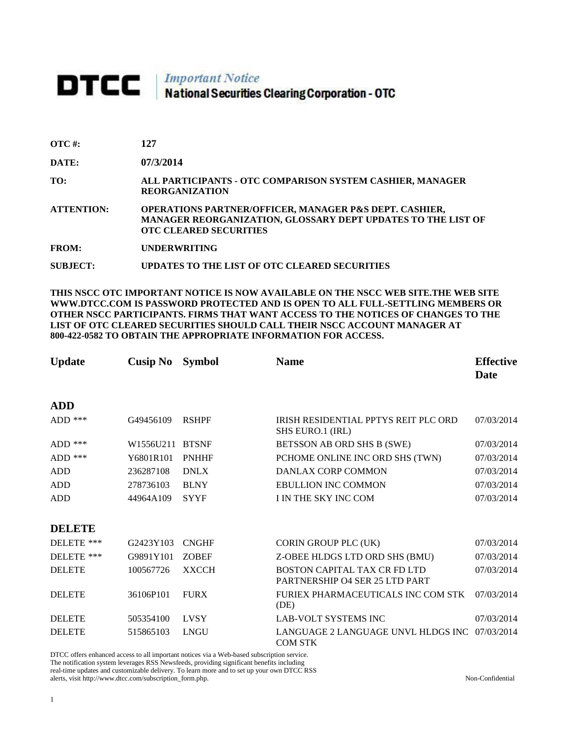## DTCC | Important Notice<br>National Securities Clearing Corporation - OTC

| $\overline{\text{OTC}}$ #: | 127 |
|----------------------------|-----|
|                            |     |

**DATE: 07/3/2014**

**TO: ALL PARTICIPANTS - OTC COMPARISON SYSTEM CASHIER, MANAGER REORGANIZATION** 

**ATTENTION: OPERATIONS PARTNER/OFFICER, MANAGER P&S DEPT. CASHIER, MANAGER REORGANIZATION, GLOSSARY DEPT UPDATES TO THE LIST OF OTC CLEARED SECURITIES** 

**FROM: UNDERWRITING**

**SUBJECT: UPDATES TO THE LIST OF OTC CLEARED SECURITIES**

**THIS NSCC OTC IMPORTANT NOTICE IS NOW AVAILABLE ON THE NSCC WEB SITE.THE WEB SITE WWW.DTCC.COM IS PASSWORD PROTECTED AND IS OPEN TO ALL FULL-SETTLING MEMBERS OR OTHER NSCC PARTICIPANTS. FIRMS THAT WANT ACCESS TO THE NOTICES OF CHANGES TO THE LIST OF OTC CLEARED SECURITIES SHOULD CALL THEIR NSCC ACCOUNT MANAGER AT 800-422-0582 TO OBTAIN THE APPROPRIATE INFORMATION FOR ACCESS.** 

| <b>Update</b> | <b>Cusip No</b> | <b>Symbol</b> | <b>Name</b>                                                                  | <b>Effective</b><br><b>Date</b> |
|---------------|-----------------|---------------|------------------------------------------------------------------------------|---------------------------------|
| <b>ADD</b>    |                 |               |                                                                              |                                 |
| ADD $***$     | G49456109       | <b>RSHPF</b>  | IRISH RESIDENTIAL PPTYS REIT PLC ORD<br>SHS EURO.1 (IRL)                     | 07/03/2014                      |
| ADD $***$     | W1556U211       | <b>BTSNF</b>  | BETSSON AB ORD SHS B (SWE)                                                   | 07/03/2014                      |
| ADD $***$     | Y6801R101       | <b>PNHHF</b>  | PCHOME ONLINE INC ORD SHS (TWN)                                              | 07/03/2014                      |
| <b>ADD</b>    | 236287108       | <b>DNLX</b>   | DANLAX CORP COMMON                                                           | 07/03/2014                      |
| <b>ADD</b>    | 278736103       | <b>BLNY</b>   | <b>EBULLION INC COMMON</b>                                                   | 07/03/2014                      |
| <b>ADD</b>    | 44964A109       | <b>SYYF</b>   | I IN THE SKY INC COM                                                         | 07/03/2014                      |
| <b>DELETE</b> |                 |               |                                                                              |                                 |
| DELETE ***    | G2423Y103       | <b>CNGHF</b>  | CORIN GROUP PLC (UK)                                                         | 07/03/2014                      |
| DELETE ***    | G9891Y101       | <b>ZOBEF</b>  | Z-OBEE HLDGS LTD ORD SHS (BMU)                                               | 07/03/2014                      |
| <b>DELETE</b> | 100567726       | <b>XXCCH</b>  | <b>BOSTON CAPITAL TAX CR FD LTD</b><br><b>PARTNERSHIP O4 SER 25 LTD PART</b> | 07/03/2014                      |
| <b>DELETE</b> | 36106P101       | <b>FURX</b>   | FURIEX PHARMACEUTICALS INC COM STK<br>(DE)                                   | 07/03/2014                      |
| <b>DELETE</b> | 505354100       | <b>LVSY</b>   | <b>LAB-VOLT SYSTEMS INC</b>                                                  | 07/03/2014                      |
| <b>DELETE</b> | 515865103       | <b>LNGU</b>   | LANGUAGE 2 LANGUAGE UNVL HLDGS INC<br><b>COM STK</b>                         | 07/03/2014                      |

DTCC offers enhanced access to all important notices via a Web-based subscription service. The notification system leverages RSS Newsfeeds, providing significant benefits including real-time updates and customizable delivery. To learn more and to set up your own DTCC RSS alerts, visit http://www.dtcc.com/subscription\_form.php. Non-Confidential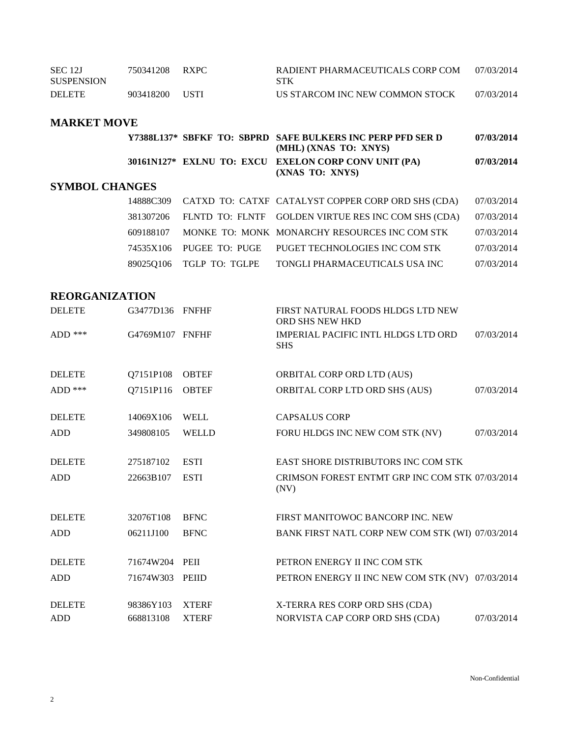| <b>SEC 12J</b><br><b>SUSPENSION</b> | 750341208 | <b>RXPC</b> | RADIENT PHARMACEUTICALS CORP COM<br><b>STK</b> | 07/03/2014 |
|-------------------------------------|-----------|-------------|------------------------------------------------|------------|
| <b>DELETE</b>                       | 903418200 | <b>USTI</b> | US STARCOM INC NEW COMMON STOCK                | 07/03/2014 |

## **MARKET MOVE**

|                       |  | Y7388L137* SBFKF TO: SBPRD SAFE BULKERS INC PERP PFD SER D<br>(MHL) (XNAS TO: XNYS) | 07/03/2014 |
|-----------------------|--|-------------------------------------------------------------------------------------|------------|
|                       |  | 30161N127* EXLNU TO: EXCU EXELON CORP CONVUNIT (PA)<br>(XNAS TO: XNYS)              | 07/03/2014 |
| <b>SYMBOL CHANGES</b> |  |                                                                                     |            |

|  |                          | 14888C309 CATXD TO: CATXF CATALYST COPPER CORP ORD SHS (CDA)  | 07/03/2014 |
|--|--------------------------|---------------------------------------------------------------|------------|
|  |                          | 381307206 FLNTD TO: FLNTF GOLDEN VIRTUE RES INC COM SHS (CDA) | 07/03/2014 |
|  |                          | 609188107 MONKE TO: MONK MONARCHY RESOURCES INC COM STK       | 07/03/2014 |
|  |                          | 74535X106 PUGEE TO: PUGE PUGET TECHNOLOGIES INC COM STK       | 07/03/2014 |
|  | 89025Q106 TGLP TO: TGLPE | TONGLI PHARMACEUTICALS USA INC                                | 07/03/2014 |

## **REORGANIZATION**

| <b>DELETE</b> | G3477D136 FNFHF |              | FIRST NATURAL FOODS HLDGS LTD NEW<br>ORD SHS NEW HKD     |            |
|---------------|-----------------|--------------|----------------------------------------------------------|------------|
| ADD $***$     | G4769M107 FNFHF |              | <b>IMPERIAL PACIFIC INTL HLDGS LTD ORD</b><br><b>SHS</b> | 07/03/2014 |
| <b>DELETE</b> | Q7151P108       | <b>OBTEF</b> | <b>ORBITAL CORP ORD LTD (AUS)</b>                        |            |
|               |                 |              |                                                          |            |
| $ADD$ ***     | Q7151P116       | <b>OBTEF</b> | ORBITAL CORP LTD ORD SHS (AUS)                           | 07/03/2014 |
| <b>DELETE</b> | 14069X106       | <b>WELL</b>  | <b>CAPSALUS CORP</b>                                     |            |
| <b>ADD</b>    | 349808105       | <b>WELLD</b> | FORU HLDGS INC NEW COM STK (NV)                          | 07/03/2014 |
|               |                 |              |                                                          |            |
| <b>DELETE</b> | 275187102       | <b>ESTI</b>  | EAST SHORE DISTRIBUTORS INC COM STK                      |            |
| <b>ADD</b>    | 22663B107       | <b>ESTI</b>  | CRIMSON FOREST ENTMT GRP INC COM STK 07/03/2014<br>(NV)  |            |
| <b>DELETE</b> | 32076T108       | <b>BFNC</b>  | FIRST MANITOWOC BANCORP INC. NEW                         |            |
|               |                 |              |                                                          |            |
| <b>ADD</b>    | 06211J100       | <b>BFNC</b>  | BANK FIRST NATL CORP NEW COM STK (WI) 07/03/2014         |            |
| <b>DELETE</b> | 71674W204       | PEII         | PETRON ENERGY II INC COM STK                             |            |
| <b>ADD</b>    | 71674W303       | PEIID        | PETRON ENERGY II INC NEW COM STK (NV) 07/03/2014         |            |
|               |                 |              |                                                          |            |
| <b>DELETE</b> | 98386Y103       | <b>XTERF</b> | X-TERRA RES CORP ORD SHS (CDA)                           |            |
| <b>ADD</b>    | 668813108       | <b>XTERF</b> | NORVISTA CAP CORP ORD SHS (CDA)                          | 07/03/2014 |